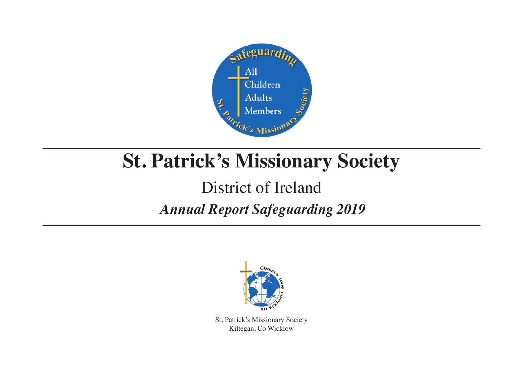

# **St. Patrick's Missionary Society**

# District of Ireland

## *Annual Report Safeguarding 2019*



St. Patrick's Missionary Society Kiltegan, Co Wicklow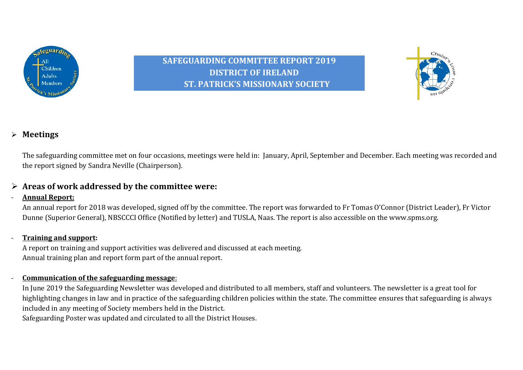

**SAFEGUARDING COMMITTEE REPORT 2019 DISTRICT OF IRELAND ST. PATRICK'S MISSIONARY SOCIETY** 



#### Ø **Meetings**

The safeguarding committee met on four occasions, meetings were held in: January, April, September and December. Each meeting was recorded and the report signed by Sandra Neville (Chairperson).

#### $\triangleright$  Areas of work addressed by the committee were:

#### - **Annual Report:**

An annual report for 2018 was developed, signed off by the committee. The report was forwarded to Fr Tomas O'Connor (District Leader), Fr Victor Dunne (Superior General), NBSCCCI Office (Notified by letter) and TUSLA, Naas. The report is also accessible on the www.spms.org.

#### - **Training and support:**

A report on training and support activities was delivered and discussed at each meeting. Annual training plan and report form part of the annual report.

#### - **Communication of the safeguarding message:**

In June 2019 the Safeguarding Newsletter was developed and distributed to all members, staff and volunteers. The newsletter is a great tool for highlighting changes in law and in practice of the safeguarding children policies within the state. The committee ensures that safeguarding is always included in any meeting of Society members held in the District.

Safeguarding Poster was updated and circulated to all the District Houses.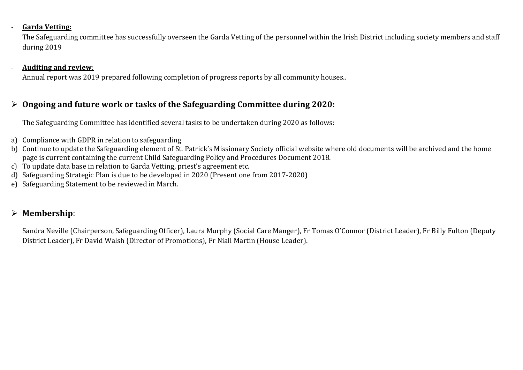#### - **Garda Vetting:**

The Safeguarding committee has successfully overseen the Garda Vetting of the personnel within the Irish District including society members and staff during 2019

#### - **Auditing and review:**

Annual report was 2019 prepared following completion of progress reports by all community houses..

#### $\triangleright$  Ongoing and future work or tasks of the Safeguarding Committee during 2020:

The Safeguarding Committee has identified several tasks to be undertaken during 2020 as follows:

- a) Compliance with GDPR in relation to safeguarding
- b) Continue to update the Safeguarding element of St. Patrick's Missionary Society official website where old documents will be archived and the home page is current containing the current Child Safeguarding Policy and Procedures Document 2018.
- c) To update data base in relation to Garda Vetting, priest's agreement etc.
- d) Safeguarding Strategic Plan is due to be developed in 2020 (Present one from 2017-2020)
- e) Safeguarding Statement to be reviewed in March.

#### Ø **Membership**:

Sandra Neville (Chairperson, Safeguarding Officer), Laura Murphy (Social Care Manger), Fr Tomas O'Connor (District Leader), Fr Billy Fulton (Deputy District Leader), Fr David Walsh (Director of Promotions), Fr Niall Martin (House Leader).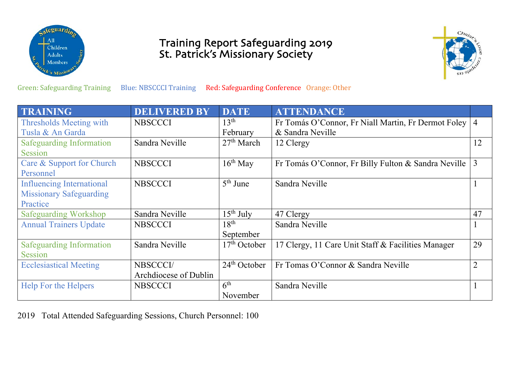

## **Training Report Safeguarding 2019** St. Patrick's Missionary Society



Green: Safeguarding Training Blue: NBSCCCI Training Red: Safeguarding Conference Orange: Other

| <b>TRAINING</b>                  | <b>DELIVERED BY</b>   | <b>DATE</b>      | <b>ATTENDANCE</b>                                   |                |
|----------------------------------|-----------------------|------------------|-----------------------------------------------------|----------------|
| Thresholds Meeting with          | <b>NBSCCCI</b>        | 13 <sup>th</sup> | Fr Tomás O'Connor, Fr Niall Martin, Fr Dermot Foley | $\overline{4}$ |
| Tusla & An Garda                 |                       | February         | & Sandra Neville                                    |                |
| <b>Safeguarding Information</b>  | Sandra Neville        | $27th$ March     | 12 Clergy                                           | 12             |
| Session                          |                       |                  |                                                     |                |
| Care & Support for Church        | <b>NBSCCCI</b>        | $16th$ May       | Fr Tomás O'Connor, Fr Billy Fulton & Sandra Neville | 3              |
| Personnel                        |                       |                  |                                                     |                |
| <b>Influencing International</b> | <b>NBSCCCI</b>        | $5th$ June       | Sandra Neville                                      |                |
| <b>Missionary Safeguarding</b>   |                       |                  |                                                     |                |
| Practice                         |                       |                  |                                                     |                |
| <b>Safeguarding Workshop</b>     | Sandra Neville        | $15^{th}$ July   | 47 Clergy                                           | 47             |
| <b>Annual Trainers Update</b>    | <b>NBSCCCI</b>        | $18^{th}$        | Sandra Neville                                      |                |
|                                  |                       | September        |                                                     |                |
| <b>Safeguarding Information</b>  | Sandra Neville        | $17th$ October   | 17 Clergy, 11 Care Unit Staff & Facilities Manager  | 29             |
| Session                          |                       |                  |                                                     |                |
| <b>Ecclesiastical Meeting</b>    | NBSCCCI/              | $24th$ October   | Fr Tomas O'Connor & Sandra Neville                  | $\overline{2}$ |
|                                  | Archdiocese of Dublin |                  |                                                     |                |
| Help For the Helpers             | <b>NBSCCCI</b>        | 6 <sup>th</sup>  | Sandra Neville                                      |                |
|                                  |                       | November         |                                                     |                |

2019 Total Attended Safeguarding Sessions, Church Personnel: 100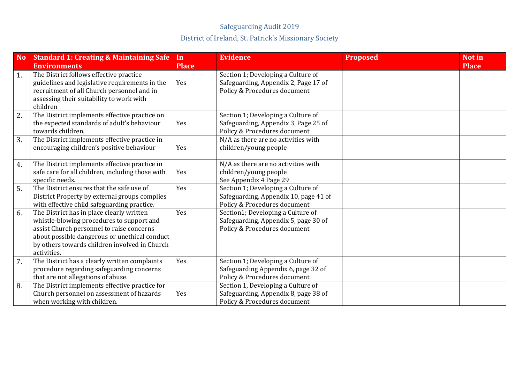| <b>No</b>        | <b>Standard 1: Creating &amp; Maintaining Safe</b><br><b>Environments</b>                                                                                                                                                                            | In<br><b>Place</b> | <b>Evidence</b>                                                                                             | <b>Proposed</b> | <b>Not in</b><br><b>Place</b> |
|------------------|------------------------------------------------------------------------------------------------------------------------------------------------------------------------------------------------------------------------------------------------------|--------------------|-------------------------------------------------------------------------------------------------------------|-----------------|-------------------------------|
| 1.               | The District follows effective practice<br>guidelines and legislative requirements in the<br>recruitment of all Church personnel and in<br>assessing their suitability to work with<br>children                                                      | Yes                | Section 1; Developing a Culture of<br>Safeguarding, Appendix 2, Page 17 of<br>Policy & Procedures document  |                 |                               |
| 2.               | The District implements effective practice on<br>the expected standards of adult's behaviour<br>towards children.                                                                                                                                    | Yes                | Section 1; Developing a Culture of<br>Safeguarding, Appendix 3, Page 25 of<br>Policy & Procedures document  |                 |                               |
| 3.               | The District implements effective practice in<br>encouraging children's positive behaviour                                                                                                                                                           | Yes                | N/A as there are no activities with<br>children/young people                                                |                 |                               |
| 4.               | The District implements effective practice in<br>safe care for all children, including those with<br>specific needs.                                                                                                                                 | Yes                | N/A as there are no activities with<br>children/young people<br>See Appendix 4 Page 29                      |                 |                               |
| 5.               | The District ensures that the safe use of<br>District Property by external groups complies<br>with effective child safeguarding practice.                                                                                                            | Yes                | Section 1; Developing a Culture of<br>Safeguarding, Appendix 10, page 41 of<br>Policy & Procedures document |                 |                               |
| 6.               | The District has in place clearly written<br>whistle-blowing procedures to support and<br>assist Church personnel to raise concerns<br>about possible dangerous or unethical conduct<br>by others towards children involved in Church<br>activities. | Yes                | Section1; Developing a Culture of<br>Safeguarding, Appendix 5, page 30 of<br>Policy & Procedures document   |                 |                               |
| $\overline{7}$ . | The District has a clearly written complaints<br>procedure regarding safeguarding concerns<br>that are not allegations of abuse.                                                                                                                     | Yes                | Section 1; Developing a Culture of<br>Safeguarding Appendix 6, page 32 of<br>Policy & Procedures document   |                 |                               |
| 8.               | The District implements effective practice for<br>Church personnel on assessment of hazards<br>when working with children.                                                                                                                           | Yes                | Section 1, Developing a Culture of<br>Safeguarding, Appendix 8, page 38 of<br>Policy & Procedures document  |                 |                               |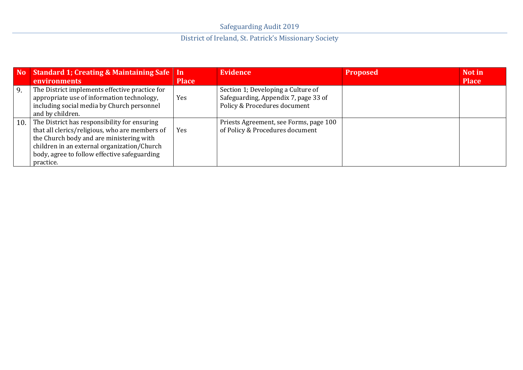|    | No Standard 1; Creating & Maintaining Safe   In<br><b>environments</b>                                                                                                                                                                                     | <b>Place</b> | <b>Evidence</b>                                                                                            | <b>Proposed</b> | Not in<br><b>Place</b> |
|----|------------------------------------------------------------------------------------------------------------------------------------------------------------------------------------------------------------------------------------------------------------|--------------|------------------------------------------------------------------------------------------------------------|-----------------|------------------------|
| 9. | The District implements effective practice for<br>appropriate use of information technology,<br>including social media by Church personnel<br>and by children.                                                                                             | Yes          | Section 1; Developing a Culture of<br>Safeguarding, Appendix 7, page 33 of<br>Policy & Procedures document |                 |                        |
|    | 10. The District has responsibility for ensuring<br>that all clerics/religious, who are members of<br>the Church body and are ministering with<br>children in an external organization/Church<br>body, agree to follow effective safeguarding<br>practice. | Yes          | Priests Agreement, see Forms, page 100<br>of Policy & Procedures document                                  |                 |                        |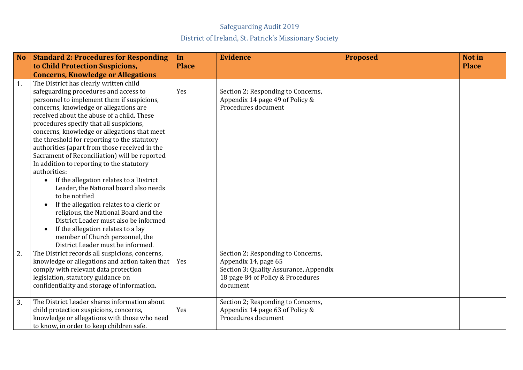| <b>No</b> | <b>Standard 2: Procedures for Responding</b><br>to Child Protection Suspicions,                                                                                                                                                                                                                                                                                                                                                                                                                                                                                                                                                                                                                                                                                                                                                                            | In<br><b>Place</b> | <b>Evidence</b>                                                                                                                                       | <b>Proposed</b> | Not in<br><b>Place</b> |
|-----------|------------------------------------------------------------------------------------------------------------------------------------------------------------------------------------------------------------------------------------------------------------------------------------------------------------------------------------------------------------------------------------------------------------------------------------------------------------------------------------------------------------------------------------------------------------------------------------------------------------------------------------------------------------------------------------------------------------------------------------------------------------------------------------------------------------------------------------------------------------|--------------------|-------------------------------------------------------------------------------------------------------------------------------------------------------|-----------------|------------------------|
|           | <b>Concerns, Knowledge or Allegations</b>                                                                                                                                                                                                                                                                                                                                                                                                                                                                                                                                                                                                                                                                                                                                                                                                                  |                    |                                                                                                                                                       |                 |                        |
| 1.        | The District has clearly written child<br>safeguarding procedures and access to<br>personnel to implement them if suspicions,<br>concerns, knowledge or allegations are<br>received about the abuse of a child. These<br>procedures specify that all suspicions,<br>concerns, knowledge or allegations that meet<br>the threshold for reporting to the statutory<br>authorities (apart from those received in the<br>Sacrament of Reconciliation) will be reported.<br>In addition to reporting to the statutory<br>authorities:<br>If the allegation relates to a District<br>Leader, the National board also needs<br>to be notified<br>If the allegation relates to a cleric or<br>religious, the National Board and the<br>District Leader must also be informed<br>If the allegation relates to a lay<br>$\bullet$<br>member of Church personnel, the | Yes                | Section 2; Responding to Concerns,<br>Appendix 14 page 49 of Policy &<br>Procedures document                                                          |                 |                        |
| 2.        | District Leader must be informed.<br>The District records all suspicions, concerns,<br>knowledge or allegations and action taken that<br>comply with relevant data protection<br>legislation, statutory guidance on<br>confidentiality and storage of information.                                                                                                                                                                                                                                                                                                                                                                                                                                                                                                                                                                                         | Yes                | Section 2; Responding to Concerns,<br>Appendix 14, page 65<br>Section 3; Quality Assurance, Appendix<br>18 page 84 of Policy & Procedures<br>document |                 |                        |
| 3.        | The District Leader shares information about<br>child protection suspicions, concerns,<br>knowledge or allegations with those who need<br>to know, in order to keep children safe.                                                                                                                                                                                                                                                                                                                                                                                                                                                                                                                                                                                                                                                                         | Yes                | Section 2; Responding to Concerns,<br>Appendix 14 page 63 of Policy &<br>Procedures document                                                          |                 |                        |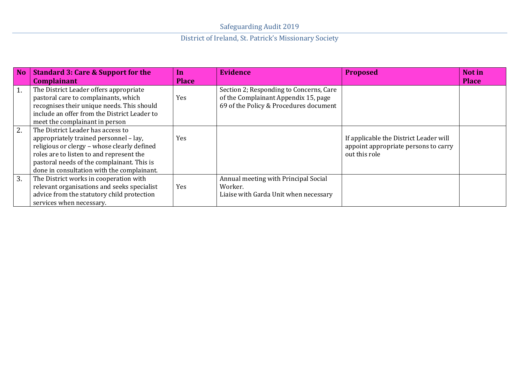| <b>No</b> | <b>Standard 3: Care &amp; Support for the</b>                                                                                                                                                                                                                      | In           | <b>Evidence</b>                                                                                                           | <b>Proposed</b>                                                                                 | Not in       |
|-----------|--------------------------------------------------------------------------------------------------------------------------------------------------------------------------------------------------------------------------------------------------------------------|--------------|---------------------------------------------------------------------------------------------------------------------------|-------------------------------------------------------------------------------------------------|--------------|
|           | <b>Complainant</b>                                                                                                                                                                                                                                                 | <b>Place</b> |                                                                                                                           |                                                                                                 | <b>Place</b> |
| 1.        | The District Leader offers appropriate<br>pastoral care to complainants, which<br>recognises their unique needs. This should<br>include an offer from the District Leader to<br>meet the complainant in person                                                     | Yes          | Section 2; Responding to Concerns, Care<br>of the Complainant Appendix 15, page<br>69 of the Policy & Procedures document |                                                                                                 |              |
| 2.        | The District Leader has access to<br>appropriately trained personnel - lay,<br>religious or clergy - whose clearly defined<br>roles are to listen to and represent the<br>pastoral needs of the complainant. This is<br>done in consultation with the complainant. | Yes          |                                                                                                                           | If applicable the District Leader will<br>appoint appropriate persons to carry<br>out this role |              |
| 3.        | The District works in cooperation with<br>relevant organisations and seeks specialist<br>advice from the statutory child protection<br>services when necessary.                                                                                                    | Yes          | Annual meeting with Principal Social<br>Worker.<br>Liaise with Garda Unit when necessary                                  |                                                                                                 |              |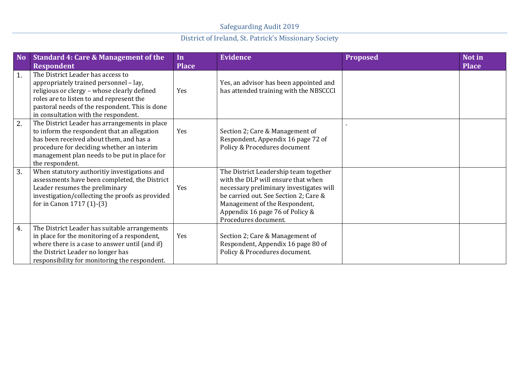| <b>No</b> | <b>Standard 4: Care &amp; Management of the</b><br><b>Respondent</b>                                                                                                                                                                                             | In<br><b>Place</b> | <b>Evidence</b>                                                                                                                                                                                                                                             | <b>Proposed</b> | Not in<br><b>Place</b> |
|-----------|------------------------------------------------------------------------------------------------------------------------------------------------------------------------------------------------------------------------------------------------------------------|--------------------|-------------------------------------------------------------------------------------------------------------------------------------------------------------------------------------------------------------------------------------------------------------|-----------------|------------------------|
| 1.        | The District Leader has access to<br>appropriately trained personnel - lay,<br>religious or clergy - whose clearly defined<br>roles are to listen to and represent the<br>pastoral needs of the respondent. This is done<br>in consultation with the respondent. | Yes                | Yes, an advisor has been appointed and<br>has attended training with the NBSCCCI                                                                                                                                                                            |                 |                        |
| 2.        | The District Leader has arrangements in place<br>to inform the respondent that an allegation<br>has been received about them, and has a<br>procedure for deciding whether an interim<br>management plan needs to be put in place for<br>the respondent.          | Yes                | Section 2; Care & Management of<br>Respondent, Appendix 16 page 72 of<br>Policy & Procedures document                                                                                                                                                       |                 |                        |
| 3.        | When statutory authoritiy investigations and<br>assessments have been completed, the District<br>Leader resumes the preliminary<br>investigation/collecting the proofs as provided<br>for in Canon 1717 (1)-(3)                                                  | Yes                | The District Leadership team together<br>with the DLP will ensure that when<br>necessary preliminary investigates will<br>be carried out. See Section 2; Care &<br>Management of the Respondent,<br>Appendix 16 page 76 of Policy &<br>Procedures document. |                 |                        |
| 4.        | The District Leader has suitable arrangements<br>in place for the monitoring of a respondent,<br>where there is a case to answer until (and if)<br>the District Leader no longer has<br>responsibility for monitoring the respondent.                            | Yes                | Section 2; Care & Management of<br>Respondent, Appendix 16 page 80 of<br>Policy & Procedures document.                                                                                                                                                      |                 |                        |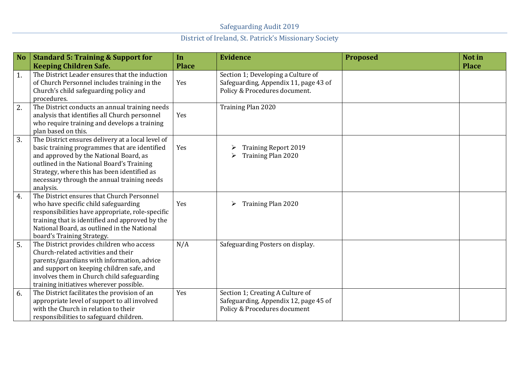| <b>No</b> | <b>Standard 5: Training &amp; Support for</b>                                                                                                                                                                                                                                                        | In                  | <b>Evidence</b>                                                                                              | <b>Proposed</b> | Not in       |
|-----------|------------------------------------------------------------------------------------------------------------------------------------------------------------------------------------------------------------------------------------------------------------------------------------------------------|---------------------|--------------------------------------------------------------------------------------------------------------|-----------------|--------------|
| 1.        | <b>Keeping Children Safe.</b><br>The District Leader ensures that the induction<br>of Church Personnel includes training in the<br>Church's child safeguarding policy and<br>procedures.                                                                                                             | <b>Place</b><br>Yes | Section 1; Developing a Culture of<br>Safeguarding, Appendix 11, page 43 of<br>Policy & Procedures document. |                 | <b>Place</b> |
| 2.        | The District conducts an annual training needs<br>analysis that identifies all Church personnel<br>who require training and develops a training<br>plan based on this.                                                                                                                               | Yes                 | Training Plan 2020                                                                                           |                 |              |
| 3.        | The District ensures delivery at a local level of<br>basic training programmes that are identified<br>and approved by the National Board, as<br>outlined in the National Board's Training<br>Strategy, where this has been identified as<br>necessary through the annual training needs<br>analysis. | Yes                 | <b>Training Report 2019</b><br>Training Plan 2020<br>➤                                                       |                 |              |
| 4.        | The District ensures that Church Personnel<br>who have specific child safeguarding<br>responsibilities have appropriate, role-specific<br>training that is identified and approved by the<br>National Board, as outlined in the National<br>board's Training Strategy.                               | Yes                 | <b>Training Plan 2020</b><br>➤                                                                               |                 |              |
| 5.        | The District provides children who access<br>Church-related activities and their<br>parents/guardians with information, advice<br>and support on keeping children safe, and<br>involves them in Church child safeguarding<br>training initiatives wherever possible.                                 | N/A                 | Safeguarding Posters on display.                                                                             |                 |              |
| 6.        | The District facilitates the provision of an<br>appropriate level of support to all involved<br>with the Church in relation to their<br>responsibilities to safeguard children.                                                                                                                      | Yes                 | Section 1; Creating A Culture of<br>Safeguarding, Appendix 12, page 45 of<br>Policy & Procedures document    |                 |              |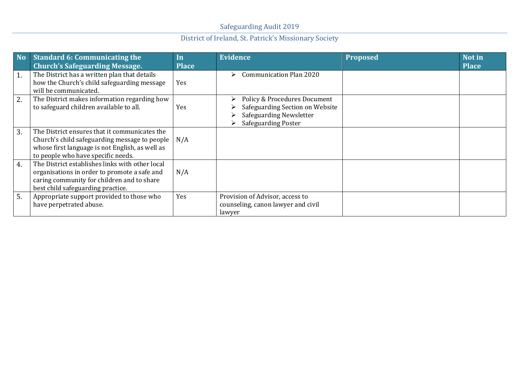| <b>No</b> | <b>Standard 6: Communicating the</b><br><b>Church's Safeguarding Message.</b>                                                                                                           | In<br><b>Place</b> | <b>Evidence</b>                                                                                                                     | <b>Proposed</b> | Not in<br><b>Place</b> |
|-----------|-----------------------------------------------------------------------------------------------------------------------------------------------------------------------------------------|--------------------|-------------------------------------------------------------------------------------------------------------------------------------|-----------------|------------------------|
| 1.        | The District has a written plan that details<br>how the Church's child safeguarding message<br>will be communicated.                                                                    | Yes                | <b>Communication Plan 2020</b><br>⋗                                                                                                 |                 |                        |
| 2.        | The District makes information regarding how<br>to safeguard children available to all.                                                                                                 | Yes                | <b>Policy &amp; Procedures Document</b><br>Safeguarding Section on Website<br>Safeguarding Newsletter<br><b>Safeguarding Poster</b> |                 |                        |
| 3.        | The District ensures that it communicates the<br>Church's child safeguarding message to people<br>whose first language is not English, as well as<br>to people who have specific needs. | N/A                |                                                                                                                                     |                 |                        |
| 4.        | The District establishes links with other local<br>organisations in order to promote a safe and<br>caring community for children and to share<br>best child safeguarding practice.      | N/A                |                                                                                                                                     |                 |                        |
| 5.        | Appropriate support provided to those who<br>have perpetrated abuse.                                                                                                                    | Yes                | Provision of Advisor, access to<br>counseling, canon lawyer and civil<br>lawyer                                                     |                 |                        |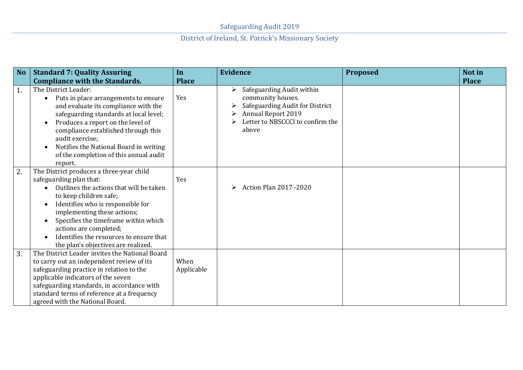| <b>No</b> | <b>Standard 7: Quality Assuring</b>                                                                                                                                                                                                                                                                                                                              | In                 | <b>Evidence</b>                                                                                                                                                  | <b>Proposed</b> | Not in       |
|-----------|------------------------------------------------------------------------------------------------------------------------------------------------------------------------------------------------------------------------------------------------------------------------------------------------------------------------------------------------------------------|--------------------|------------------------------------------------------------------------------------------------------------------------------------------------------------------|-----------------|--------------|
|           | <b>Compliance with the Standards.</b>                                                                                                                                                                                                                                                                                                                            | <b>Place</b>       |                                                                                                                                                                  |                 | <b>Place</b> |
| 1.        | The District Leader:<br>Puts in place arrangements to ensure<br>$\bullet$<br>and evaluate its compliance with the<br>safeguarding standards at local level;<br>Produces a report on the level of<br>compliance established through this<br>audit exercise;<br>Notifies the National Board in writing<br>of the completion of this annual audit<br>report.        | Yes                | Safeguarding Audit within<br>⋗<br>community houses.<br>Safeguarding Audit for District<br><b>Annual Report 2019</b><br>Letter to NBSCCCI to confirm the<br>above |                 |              |
| 2.        | The District produces a three-year child<br>safeguarding plan that:<br>Outlines the actions that will be taken<br>to keep children safe;<br>Identifies who is responsible for<br>implementing these actions;<br>Specifies the timeframe within which<br>actions are completed;<br>Identifies the resources to ensure that<br>the plan's objectives are realized. | Yes                | <b>Action Plan 2017 -2020</b><br>➤                                                                                                                               |                 |              |
| 3.        | The District Leader invites the National Board<br>to carry out an independent review of its<br>safeguarding practice in relation to the<br>applicable indicators of the seven<br>safeguarding standards, in accordance with<br>standard terms of reference at a frequency<br>agreed with the National Board.                                                     | When<br>Applicable |                                                                                                                                                                  |                 |              |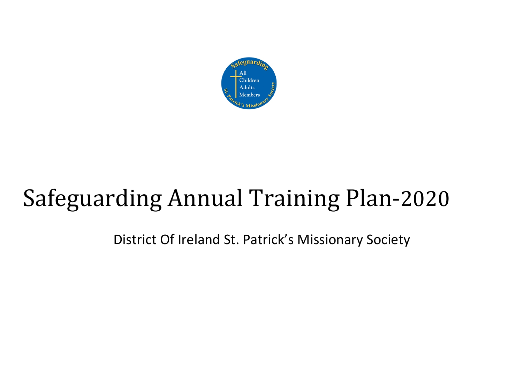

# Safeguarding Annual Training Plan-2020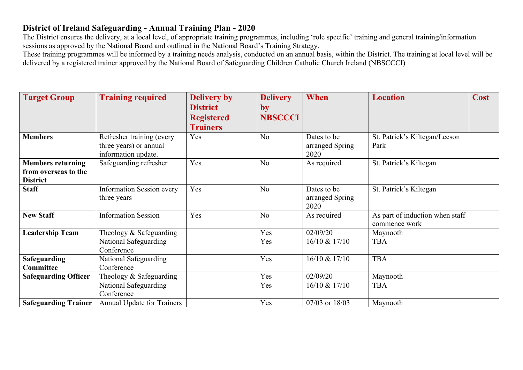#### **District of Ireland Safeguarding - Annual Training Plan - 2020**

The District ensures the delivery, at a local level, of appropriate training programmes, including 'role specific' training and general training/information sessions as approved by the National Board and outlined in the National Board's Training Strategy.

These training programmes will be informed by a training needs analysis, conducted on an annual basis, within the District. The training at local level will be delivered by a registered trainer approved by the National Board of Safeguarding Children Catholic Church Ireland (NBSCCCI)

| <b>Target Group</b>                                                 | <b>Training required</b>                                                   | <b>Delivery by</b><br><b>District</b><br><b>Registered</b><br><b>Trainers</b> | <b>Delivery</b><br>$\mathbf{by}$<br><b>NBSCCCI</b> | When                                   | <b>Location</b>                                  | <b>Cost</b> |
|---------------------------------------------------------------------|----------------------------------------------------------------------------|-------------------------------------------------------------------------------|----------------------------------------------------|----------------------------------------|--------------------------------------------------|-------------|
| <b>Members</b>                                                      | Refresher training (every<br>three years) or annual<br>information update. | Yes                                                                           | N <sub>o</sub>                                     | Dates to be<br>arranged Spring<br>2020 | St. Patrick's Kiltegan/Leeson<br>Park            |             |
| <b>Members returning</b><br>from overseas to the<br><b>District</b> | Safeguarding refresher                                                     | Yes                                                                           | N <sub>o</sub>                                     | As required                            | St. Patrick's Kiltegan                           |             |
| <b>Staff</b>                                                        | <b>Information Session every</b><br>three years                            | Yes                                                                           | N <sub>o</sub>                                     | Dates to be<br>arranged Spring<br>2020 | St. Patrick's Kiltegan                           |             |
| <b>New Staff</b>                                                    | <b>Information Session</b>                                                 | Yes                                                                           | N <sub>o</sub>                                     | As required                            | As part of induction when staff<br>commence work |             |
| <b>Leadership Team</b>                                              | Theology & Safeguarding                                                    |                                                                               | Yes                                                | 02/09/20                               | Maynooth                                         |             |
|                                                                     | National Safeguarding<br>Conference                                        |                                                                               | Yes                                                | 16/10 & 17/10                          | <b>TBA</b>                                       |             |
| <b>Safeguarding</b>                                                 | National Safeguarding                                                      |                                                                               | Yes                                                | 16/10 & 17/10                          | <b>TBA</b>                                       |             |
| Committee                                                           | Conference                                                                 |                                                                               |                                                    |                                        |                                                  |             |
| <b>Safeguarding Officer</b>                                         | Theology $&$ Safeguarding                                                  |                                                                               | Yes                                                | 02/09/20                               | Maynooth                                         |             |
|                                                                     | National Safeguarding<br>Conference                                        |                                                                               | Yes                                                | 16/10 & 17/10                          | <b>TBA</b>                                       |             |
| <b>Safeguarding Trainer</b>                                         | Annual Update for Trainers                                                 |                                                                               | Yes                                                | 07/03 or 18/03                         | Maynooth                                         |             |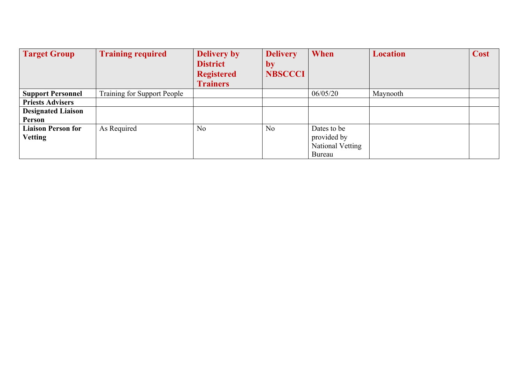| <b>Target Group</b>                         | <b>Training required</b>    | <b>Delivery by</b><br><b>District</b><br><b>Registered</b><br><b>Trainers</b> | <b>Delivery</b><br>by<br><b>NBSCCCI</b> | When                                                     | <b>Location</b> | Cost |
|---------------------------------------------|-----------------------------|-------------------------------------------------------------------------------|-----------------------------------------|----------------------------------------------------------|-----------------|------|
| <b>Support Personnel</b>                    | Training for Support People |                                                                               |                                         | 06/05/20                                                 | Maynooth        |      |
| <b>Priests Advisers</b>                     |                             |                                                                               |                                         |                                                          |                 |      |
| <b>Designated Liaison</b><br>Person         |                             |                                                                               |                                         |                                                          |                 |      |
| <b>Liaison Person for</b><br><b>Vetting</b> | As Required                 | No                                                                            | No                                      | Dates to be<br>provided by<br>National Vetting<br>Bureau |                 |      |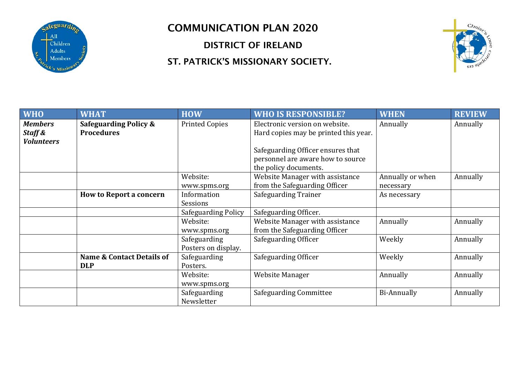

#### COMMUNICATION PLAN 2020

DISTRICT OF IRELAND

#### ST. PATRICK'S MISSIONARY SOCIETY.



| <b>WHO</b>                                     | <b>WHAT</b>                                           | <b>HOW</b>                          | <b>WHO IS RESPONSIBLE?</b>                                              | <b>WHEN</b>        | <b>REVIEW</b> |
|------------------------------------------------|-------------------------------------------------------|-------------------------------------|-------------------------------------------------------------------------|--------------------|---------------|
| <b>Members</b><br>Staff &<br><b>Volunteers</b> | <b>Safeguarding Policy &amp;</b><br><b>Procedures</b> | <b>Printed Copies</b>               | Electronic version on website.<br>Hard copies may be printed this year. | Annually           | Annually      |
|                                                |                                                       |                                     | Safeguarding Officer ensures that                                       |                    |               |
|                                                |                                                       |                                     | personnel are aware how to source<br>the policy documents.              |                    |               |
|                                                |                                                       | Website:                            | Website Manager with assistance                                         | Annually or when   | Annually      |
|                                                |                                                       | www.spms.org                        | from the Safeguarding Officer                                           | necessary          |               |
|                                                | <b>How to Report a concern</b>                        | Information<br>Sessions             | <b>Safeguarding Trainer</b>                                             | As necessary       |               |
|                                                |                                                       | <b>Safeguarding Policy</b>          | Safeguarding Officer.                                                   |                    |               |
|                                                |                                                       | Website:<br>www.spms.org            | Website Manager with assistance<br>from the Safeguarding Officer        | Annually           | Annually      |
|                                                |                                                       | Safeguarding<br>Posters on display. | Safeguarding Officer                                                    | Weekly             | Annually      |
|                                                | <b>Name &amp; Contact Details of</b><br><b>DLP</b>    | Safeguarding<br>Posters.            | Safeguarding Officer                                                    | Weekly             | Annually      |
|                                                |                                                       | Website:<br>www.spms.org            | Website Manager                                                         | Annually           | Annually      |
|                                                |                                                       | Safeguarding<br>Newsletter          | Safeguarding Committee                                                  | <b>Bi-Annually</b> | Annually      |